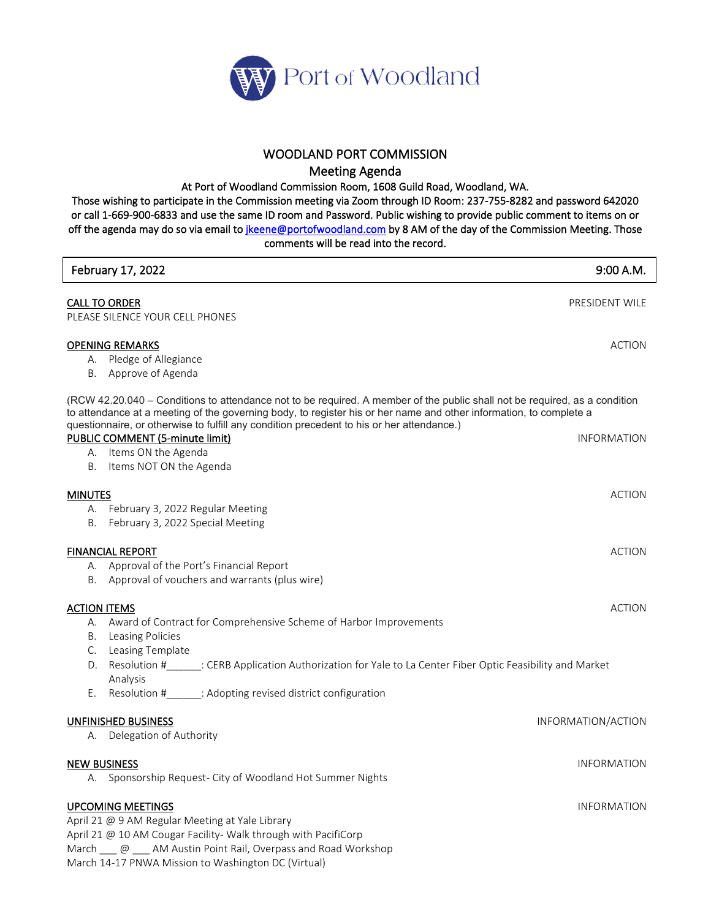

## WOODLAND PORT COMMISSION

Meeting Agenda

At Port of Woodland Commission Room, 1608 Guild Road, Woodland, WA.

Those wishing to participate in the Commission meeting via Zoom through ID Room: 237-755-8282 and password 642020 or call 1-669-900-6833 and use the same ID room and Password. Public wishing to provide public comment to items on or off the agenda may do so via email to *jkeene@portofwoodland.com* by 8 AM of the day of the Commission Meeting. Those comments will be read into the record.

| February 17, 2022                                                                                                                                                                                                                                                                                                                             | 9:00 A.M.          |
|-----------------------------------------------------------------------------------------------------------------------------------------------------------------------------------------------------------------------------------------------------------------------------------------------------------------------------------------------|--------------------|
| <b>CALL TO ORDER</b><br>PLEASE SILENCE YOUR CELL PHONES                                                                                                                                                                                                                                                                                       | PRESIDENT WILE     |
| <b>OPENING REMARKS</b><br>A. Pledge of Allegiance<br>B. Approve of Agenda                                                                                                                                                                                                                                                                     | <b>ACTION</b>      |
| (RCW 42.20.040 – Conditions to attendance not to be required. A member of the public shall not be required, as a condition<br>to attendance at a meeting of the governing body, to register his or her name and other information, to complete a<br>questionnaire, or otherwise to fulfill any condition precedent to his or her attendance.) |                    |
| PUBLIC COMMENT (5-minute limit)<br>A. Items ON the Agenda<br>B. Items NOT ON the Agenda                                                                                                                                                                                                                                                       | <b>INFORMATION</b> |
| <b>MINUTES</b><br>A. February 3, 2022 Regular Meeting<br>B. February 3, 2022 Special Meeting                                                                                                                                                                                                                                                  | <b>ACTION</b>      |
| <b>FINANCIAL REPORT</b><br>A. Approval of the Port's Financial Report<br>B. Approval of vouchers and warrants (plus wire)                                                                                                                                                                                                                     | <b>ACTION</b>      |
| <b>ACTION ITEMS</b><br>A. Award of Contract for Comprehensive Scheme of Harbor Improvements<br><b>B.</b> Leasing Policies                                                                                                                                                                                                                     | <b>ACTION</b>      |
| C. Leasing Template<br>Resolution #<br>________: CERB Application Authorization for Yale to La Center Fiber Optic Feasibility and Market<br>D.<br>Analysis<br>Resolution #_______: Adopting revised district configuration<br>Е.                                                                                                              |                    |
| <b>UNFINISHED BUSINESS</b><br>A. Delegation of Authority                                                                                                                                                                                                                                                                                      | INFORMATION/ACTION |
| <b>NEW BUSINESS</b><br>A. Sponsorship Request- City of Woodland Hot Summer Nights                                                                                                                                                                                                                                                             | <b>INFORMATION</b> |
| <b>UPCOMING MEETINGS</b><br>April 21 @ 9 AM Regular Meeting at Yale Library<br>April 21 @ 10 AM Cougar Facility- Walk through with PacifiCorp<br>March <u>@</u> ___ AM Austin Point Rail, Overpass and Road Workshop<br>March 14-17 PNWA Mission to Washington DC (Virtual)                                                                   | <b>INFORMATION</b> |